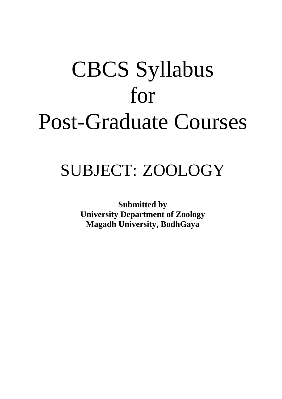# CBCS Syllabus for Post-Graduate Courses

# SUBJECT: ZOOLOGY

**Submitted by University Department of Zoology Magadh University, BodhGaya**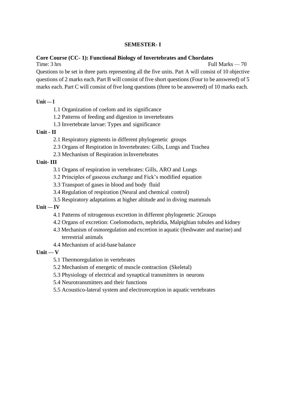#### **Core Course (CC- 1): Functional Biology of Invertebrates and Chordates**

Time: 3 hrs Full Marks — 70 Questions to be set in three parts representing all the five units. Part A will consist of 10 objective questions of 2 marks each. Part B will consist of five short questions (Four to be answered) of 5 marks each. Part C will consist of five long questions (three to be answered) of 10 marks each.

#### $Unit - I$

- 1.1 Organization of coelom and its significance
- 1.2 Patterns of feeding and digestion in invertebrates
- 1.3 Invertebrate larvae: Types and significance

#### **Unit - II**

- 2.1 Respiratory pigments in different phylogenetic groups
- 2.3 Organs of Respiration in Invertebrates: Gills, Lungs and Trachea
- 2.3 Mechanism of Respiration in Invertebrates

#### **Unit- III**

- 3.1 Organs of respiration in vertebrates: Gills, ARO and Lungs
- 3.2 Principles of gaseous exchange and Fick's modified equation
- 3.3 Transport of gases in blood and body fluid
- 3.4 Regulation of respiration (Neural and chemical control)
- 3.5 Respiratory adaptations at higher altitude and in diving mammals

#### $Unit - IV$

- 4.1 Patterns of nitrogenous excretion in different phylogenetic 2Groups
- 4.2 Organs of excretion: Coelomoducts, nephridia, Malpighian tubules and kidney
- 4.3 Mechanism of osmoregulation and excretion in aquatic (freshwater and marine) and terrestrial animals
- 4.4 Mechanism of acid-base balance

#### $\textbf{Unit} - \textbf{V}$

- 5.1 Thermoregulation in vertebrates
- 5.2 Mechanism of energetic of muscle contraction (Skeletal)
- 5.3 Physiology of electrical and synaptical transmitters in neurons
- 5.4 Neurotransmitters and their functions
- 5.5 Acoustico-lateral system and electroreception in aquatic vertebrates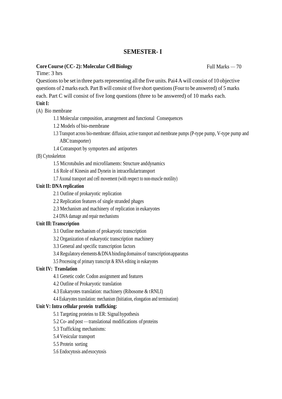#### **Core** Course (CC-2): Molecular Cell Biology Full Marks — 70

Time: 3 hrs

Questions to be set in three parts representing all the five units. Pai4 A will consist of 10 objective questions of 2 marks each. Part B will consist of five short questions (Four to be answered) of 5 marks each. Part C will consist of five long questions (three to be answered) of 10 marks each.

**Unit I:**

(A) Bio membrane

1.1 Molecular composition, arrangement and functional Consequences

1.2 Models of bio-membrane

1.3 Transport across bio-membrane: diffusion, active transport and membrane pumps (P-type pump, V-type pump and ABCtransporter)

1.4 Cotransport by symporters and antiporters

(B) Cytoskeleton

1.5 Microtubules and microfilaments: Structure anddynamics

1.6 Role of Kinesin and Dynein in intracellulartransport

1.7 Axonal transport and cell movement (with respect to non-muscle motility)

#### **Unit II: DNA replication**

2.1 Outline of prokaryotic replication

2.2 Replication features of single stranded phages

2.3 Mechanism and machinery of replication in eukaryotes

2.4 DNA damage and repair mechanisms

#### **Unit Ill:Transcription**

3.1 Outline mechanism of prokaryotic transcription

3.2 Organization of eukaryotic transcription machinery

3.3 General and specific transcription factors

3.4 Regulatory elements&DNAbinding domains of transcriptionapparatus

3.5 Processing of primary transcript & RNA editing in eukaryotes

#### **Unit IV: Translation**

4.1 Genetic code: Codon assignment and features

4.2 Outline of Prokaryotic translation

4.3 Eukaryotes translation: machinery (Ribosome & tRNLI)

4.4 Eukaryotes translation: mechanism (Initiation, elongation and termination)

#### **Unit V: Intra cellular protein trafficking:**

5.1 Targeting proteins to ER: Signal hypothesis

5.2 Co- and post —translational modifications of proteins

5.3 Trafficking mechanisms:

5.4 Vesicular transport

5.5 Protein sorting

5.6 Endocytosis and exocytosis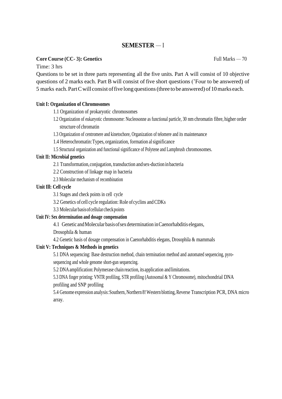#### **Core Course (CC- 3): Genetics**

Time: 3 hrs

Questions to be set in three parts representing all the five units. Part A will consist of 10 objective questions of 2 marks each. Part B will consist of five short questions ('Four to be answered) of 5 marks each. Part C will consist of five long questions (three to be answered) of 10 marks each.

#### **Unit I: Organization of Chromosomes**

- 1.1 Organization of prokaryotic chromosomes
- 1.2 Organization of eukaryotic chromosome: Nucleosonne as functional particle, 30 nm chromatin fibre, higher order structure of chromatin
- 1.3 Organization of centromere and kinetochore, Organization of telomere and its maintenance
- 1.4 Heterochromatin:Types, organization, formation alsignificance
- 1.5 Structural organization and functional significance of Polytene and Lampbrush chromosomes.

#### **Unit II: Microbial genetics**

- 2.1 Transformation,conjugation, transduction andsex-duction inbacteria
- 2.2 Construction of linkage map in bacteria
- 2.3 Molecular mechanism of recombination

#### **Unit Ill: Cell cycle**

3.1 Stages and check points in cell cycle

- 3.2 Genetics of cell cycle regulation: Role ofcyclins andCDKs
- 3.3 Molecularbasisofcellularcheckpoints

#### **Unit IV: Sex determination and dosage compensation**

4.1 Genetic andMolecular basisofsexdetermination inCaenorhabditis elegans,

Drosophila & human

4.2 Genetic basis of dosage compensation in Caenorhabditis elegans, Drosophila & mammals

#### **Unit V: Techniques & Methods in genetics**

5.1 DNA sequencing: Base destruction method, chain termination method and automated sequencing, pyrosequencing and whole genome short-gun sequencing.

5.2 DNA amplification:Polymerase chain reaction, its application andlimitations.

5.3 DNA finger printing: VNTR profiling, STR profiling (Autosomal & Y Chromosome), mitochondrial DNA profiling and SNP profiling

5.4 Genome expression analysis: Southern, Northern 8! Western blotting, Reverse Transcription PCR, DNA micro array.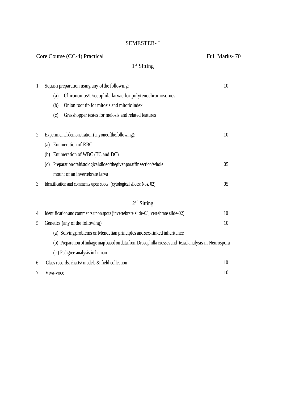| Core Course (CC-4) Practical |                                                                                                         | Full Marks-70  |
|------------------------------|---------------------------------------------------------------------------------------------------------|----------------|
|                              | $1st$ Sitting                                                                                           |                |
| 1.                           | Squash preparation using any of the following:                                                          | 10             |
|                              | Chironomus/Drosophila larvae for polytenechromosomes<br>(a)                                             |                |
|                              | (b)<br>Onion root tip for mitosis and mitotic index                                                     |                |
|                              | Grasshopper testes for meiosis and related features<br>(c)                                              |                |
| 2.                           | Experimental demonstration (anyone of the following):                                                   | 10             |
|                              | Enumeration of RBC<br>(a)                                                                               |                |
|                              | Enumeration of WBC (TC and DC)<br>(b)                                                                   |                |
|                              | Preparation of a histological slide of the given paraffin section/whole<br>(c)                          | 05             |
|                              | mount of an invertebrate larva                                                                          |                |
| 3.                           | Identification and comments upon spots (cytological slides: Nos. 02)                                    | 0 <sub>5</sub> |
|                              | $2nd$ Sitting                                                                                           |                |
| 4.                           | Identification and comments upon spots (invertebrate slide-03, vertebrate slide-02)                     | 10             |
| 5.                           | Genetics (any of the following)                                                                         | 10             |
|                              | (a) Solving problems on Mendelian principles and sex-linked inheritance                                 |                |
|                              | (b) Preparation of linkage map based on data from Drosophilla crosses and tetrad analysis in Neurospora |                |
|                              |                                                                                                         |                |

<span id="page-4-0"></span>

|    | (b) Preparation of linkage map based on data from Drosophilla crosses and tetrad analysis in Neurosporal |    |
|----|----------------------------------------------------------------------------------------------------------|----|
|    | (c) Pedigree analysis in human                                                                           |    |
|    | 6. Class records, charts/models $\&$ field collection                                                    | 10 |
| 7. | Viva-voce                                                                                                | 10 |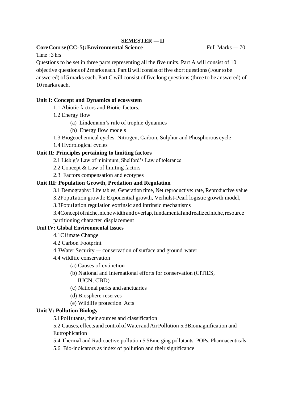#### **Core Course (CC-5): Environmental Science** Full Marks — 70

Time : 3 hrs

Questions to be set in three parts representing all the five units. Part A will consist of 10 objective questions of 2 marks each. Part B will consist of five short questions (Four to be answered) of 5 marks each. Part C will consist of five long questions (three to be answered) of 10 marks each.

#### **Unit I: Concept and Dynamics of ecosystem**

1.1 Abiotic factors and Biotic factors.

- 1.2 Energy flow
	- (a) Lindemann's rule of trophic dynamics
	- (b) Energy flow models
- 1.3 Biogeochemical cycles: Nitrogen, Carbon, Sulphur and Phosphorous cycle
- 1.4 Hydrological cycles

#### **Unit II: Principles pertaining to limiting factors**

- 2.1 Liebig's Law of minimum, Shelford's Law of tolerance
- 2.2 Concept & Law of limiting factors
- 2.3 Factors compensation and ecotypes

#### **Unit III: Population Growth, Predation and Regulation**

3.1 Demography: Life tables, Generation time, Net reproductive: rate, Reproductive value

3.2Popu1ation growth: Exponential growth, Verhulst-Pearl logistic growth model,

3.3Popu1ation regulation extrinsic and intrinsic mechanisms

3.4Concept of niche, niche width and overlap, fundamental and realized niche, resource partitioning character displacement

#### **Unit IV: Global Environmental Issues**

- 4.1C1imate Change
- 4.2 Carbon Footprint
- 4.3Water Security conservation of surface and ground water
- 4.4 wildlife conservation
	- (a) Causes of extinction
	- (b) National and International efforts for conservation (CITIES, IUCN, CBD)
	- (c) National parks andsanctuaries
	- (d) Biosphere reserves
	- (e) Wildlife protection Acts

#### **Unit V: Pollution Biology**

5.l Pol1utants, their sources and classification

5.2 Causes, effectsandcontrolofWaterandAirPollution 5.3Biomagnification and Eutrophication

5.4 Thermal and Radioactive pollution 5.5Emerging pollutants: POPs, Pharmaceuticals

5.6 Bio-indicators as index of pollution and their significance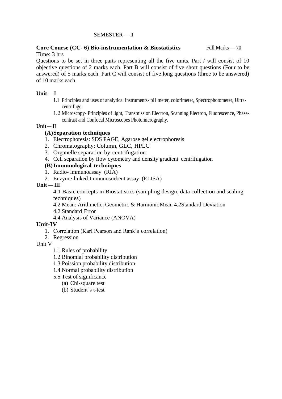#### **Core Course (CC- 6) Bio-instrumentation & Biostatistics**  Time: 3 hrs Full Marks — 70

Questions to be set in three parts representing all the five units. Part / will consist of 10 objective questions of 2 marks each. Part B will consist of five short questions (Four to be answered) of 5 marks each. Part C will consist of five long questions (three to be answered) of 10 marks each.

#### $Unit - I$

- 1.1 Principles and uses of analytical instruments- pH meter, colorimeter, Spectrophotometer, Ultracentrifuge.
- 1.2 Microscopy- Principles of light, Transmission Electron, Scanning Electron, Fluorescence, Phasecontrast and Confocal Microscopes Photomicrography.

#### $Unit– II$

#### **(A)Separation techniques**

- 1. Electrophoresis: SDS PAGE, Agarose gel electrophoresis
- 2. Chromatography: Column, GLC, HPLC
- 3. Organelle separation by centrifugation
- 4. Cell separation by flow cytometry and density gradient centrifugation

#### **(B)Immunological techniques**

- 1. Radio- immunoassay (RIA)
- 2. Enzyme-linked Immunosorbent assay (ELISA)

#### **Unit — III**

4.1 Basic concepts in Biostatistics (sampling design, data collection and scaling techniques)

4.2 Mean: Arithmetic, Geometric & HarmonicMean 4.2Standard Deviation

- 4.2 Standard Error
- 4.4 Analysis of Variance (ANOVA)

#### **Unit-IV**

- 1. Correlation (Karl Pearson and Rank's correlation)
- 2. Regression

#### Unit V

- 1.1 Rules of probability
- 1.2 Binomial probability distribution
- 1.3 Poission probability distribution
- 1.4 Normal probability distribution
- 5.5 Test of significance
	- (a) Chi-square test
	- (b) Student's t-test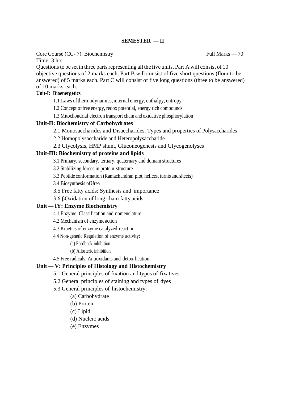Core Course (CC- 7): Biochemistry

Time: 3 hrs

Questions to be set in three parts representing all the five units. Part A will consist of 10 objective questions of 2 marks each. Part B will consist of five short questions (flour to be answered) of 5 marks each. Part C will consist of five long questions (three to be answered) of 10 marks each.

#### **Unit-I: Bioenergetics**

1.1 Laws ofthermodynamics,internal energy, enthalpy, entropy

1.2 Concept offree energy, redox potential, energy rich compounds

1.3 Mitochondrial electron transport chain and oxidative phosphorylation

#### **Unit-II: Biochemistry of Carbohydrates**

2.1 Monosaccharides and Disaccharides, Types and properties of Polysaccharides

2.2 Homopolysaccharide and Heteropolysaccharide

2.3 Glycolysis, HMP shunt, Gluconeogenesis and Glycogenolyses

#### **Unit-III: Biochemistry of proteins and lipids**

3.1 Primary, secondary, tertiary, quaternary and domain structures

3.2 Stabilizing forces in protein structure

3.3 Peptide conformation (Ramachandran plot, helices, turnis and sheets)

3.4 Biosynthesis ofUrea

3.5 Free fatty acids: Synthesis and importance

3.6 βOxidation of long chain fatty acids

#### **Unit — IY: Enzyme Biochemistry**

4.1 Enzyme: Classification and nomenclature

4.2 Mechanism of enzyme action

4.3 Kinetics of enzyme catalyzed reaction

4.4 Non-genetic Regulation of enzyme activity:

(a) Feedback inhibition

(b) Allosteric inhibition

4.5 Free radicals, Antioxidants and detoxification

#### **Unit — V: Principles of Histology and Histochemistry**

5.1 General principles of fixation and types of fixatives

5.2 General principles of staining and types of dyes

5.3 General principles of histochemistry:

(a) Carbohydrate

(b) Protein

(c) Lipid

(d) Nucleic acids

(e) Enzymes

Full Marks — 70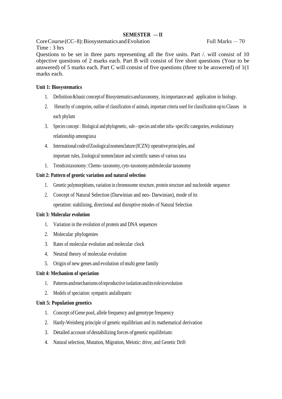Core Course (CC-8): Biosystematics and Evolution Full Marks  $-70$ Time : 3 hrs

Questions to be set in three parts representing all the five units. Part /. will consist of 10 objective questions of 2 marks each. Part B will consist of five short questions (Your to be answered) of 5 marks each. Part C will consist of five questions (three to be answered) of 1(1 marks each.

#### **Unit 1: Biosystematics**

- 1. Definition&basic conceptof Biosystematicsandtaxonomy, itsimportance and application in biology.
- 2. Hierarchy of categories, outline of classification of animals, important criteria used for classification up to Classes in each phylum
- 3. Species concept : Biological and phylogenetic, sub› -species and other infra- specific categories, evolutionary relationship amongtaxa

4. International codeofZoologicalnomenclature (ICZN):operativeprinciples, and important rules, Zoological nomenclature and scientific names of various taxa

1. Trendsintaxonomy: Chemo-taxonomy,cyto-taxonomyandmolecular taxonomy

#### **Unit 2: Pattern of genetic variation and natural selection**

- 1. Genetic polymorphisms, variation in chromosome structure, protein structure and nucleotide sequence
- 2. Concept of Natural Selection (Darwinian and neo- Darwinian), mode of its operation: stabilizing, directional and disruptive miodes of Natural Selection

#### **Unit 3: Molecular evolution**

- 1. Variation in the evolution of protein and DNA sequences
- 2. Molecular phylogenies
- 3. Rates of molecular evolution and molecular clock
- 4. Neutral theory of molecular evolution
- 5. Origin of new genes and evolution of multi gene family

#### **Unit 4: Mechanism of speciation**

- 1. Patterns andmechanismsofreproductive isolation anditsroleinevolution
- 2. Models of speciation: sympatric andallopatric

#### **Unit 5: Population genetics**

- 1. Concept ofGene pool, allele frequency and genotype frequency
- 2. Hardy-Weinberg principle of genetic equilibrium and its mathematical derivation
- 3. Detailed account of destabilizing forces of genetic equilibrium:
- 4. Natural selection, Mutation, Migration, Meiotic: drive, and Genetic Drift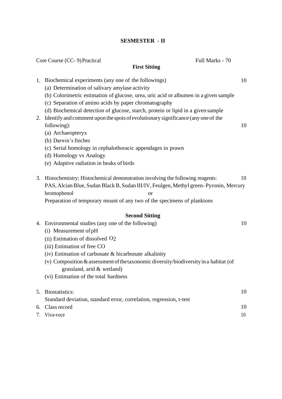#### **SESMESTER - II**

|    | Core Course (CC-9) Practical<br>Full Marks - 70                                       |    |
|----|---------------------------------------------------------------------------------------|----|
|    | <b>First Sitting</b>                                                                  |    |
|    | 1. Biochemical experiments (any one of the followings)                                | 10 |
|    | (a) Determination of salivary amylase activity                                        |    |
|    | (b) Colorimetric estimation of glucose, urea, uric acid or albumen in a given sample  |    |
|    | (c) Separation of amino acids by paper chromatography                                 |    |
|    | (d) Biochemical detection of glucose, starch, protein or lipid in a given sample      |    |
| 2. | Identify and comment upon the spots of evolutionary significance (any one of the      |    |
|    | following):                                                                           | 10 |
|    | (a) Archaeopteryx                                                                     |    |
|    | (b) Darwin's finches                                                                  |    |
|    | (c) Serial homology in cephalothoracic appendages in prawn                            |    |
|    | (d) Homology vs Analogy                                                               |    |
|    | (e) Adaptive radiation in beaks of birds                                              |    |
|    | 3. Histochemistry; Histochemical demonstration involving the following reagents:      | 10 |
|    | PAS, Alcian Blue, Sudan Black B, Sudan III/IV, Feulgen, Methyl green-Pyronin, Mercury |    |
|    | bromophenol<br><b>or</b>                                                              |    |
|    | Preparation of temporary mount of any two of the specimens of planktons               |    |
|    | <b>Second Sitting</b>                                                                 |    |
|    | 4. Environmental studies (any one of the following)                                   | 10 |
|    | (i) Measurement of pH                                                                 |    |
|    | (ii) Estimation of dissolved O2                                                       |    |
|    | (iii) Estimation of free CO                                                           |    |
|    | $(iv)$ Estimation of carbonate $\&$ bicarbonate alkalinity                            |    |
|    | (v) Composition & assessment of the taxonomic diversity/biodiversity in a habitat (of |    |
|    | grassland, arid & wetland)                                                            |    |
|    | (vi) Estimation of the total hardness                                                 |    |
|    | 5. Biostatistics:                                                                     | 10 |
|    | Standard deviation, standard error, correlation, regression, t-test                   |    |
| 6. | Class record                                                                          | 10 |
|    | 7. Viva-voce                                                                          | 10 |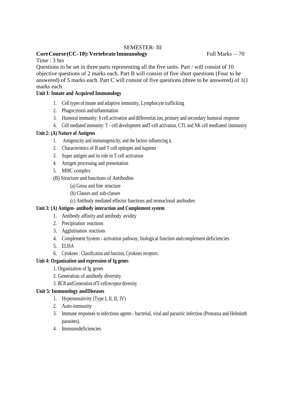#### SEMESTER- III

#### **CoreCourse(CC-10): Vertebrate Immunology** Full Marks  $-70$

Time : 3 hrs

Questions to be set in three parts representing all the five units. Part / will consist of 10 objective questions of 2 marks each. Part B will consist of five short questions (Four to be answered) of 5 marks each. Part C will consist of five questions (three to be answered) of 1(1 marks each.

#### **Unit I: Innate and Acquired Immunology**

- 1. Cell types of innate and adaptive immunity, Lymphocyte trafficking
- 2. Phagocytosis andinflammation
- 3. Humoral immunity: § cell activation and differentiat.ion, primary and secondary humoral response
- 4. Cell mediated immunity: T cell development andT-cell activation, CTL and NK cell mediated immunity

#### **Unit 2: (A) Nature of Antigens**

- 1. Antigenicity and immunogenicity, and the factors influencing it.
- 2. Characteristics of B and T cell epitopes and haptens
- 3. Super antigen and its role in T cell activation
- 4. Antigen processing and presentation
- 5. MHC complex
- (B) Structure and functions of Antibodies
	- (a) Gross and fine structure
	- (b) Classes and sub-classes
	- (c) Antibody mediated effector functions and monoclonal antibodies

#### **Unit 3: (A) Antigen- antibody interaction and Complement system**

- 1. Antibody affinity and antibody avidity
- 2. Precipitation reactions
- 3. Agglutination reactions
- 4. Complement System activation pathway, biological function andcomplement deficiencies
- 5. ELISA
- 6. Cytokines : Classification and function, Cytokines receptors.

#### **Unit 4: Organization and expression of Ig genes**

- 1. Organization of Ig genes
- 2. Generation of antibody diversity
- 3. BCRandGeneration ofT-cellreceptor diversity

#### **Unit 5: Immunology andDiseases**

- 1. Hypersensitivity (Type I, II, II, IV)
- 2. Auto-immunity
- 3. Immune responses to infectious agents bacterial, viral and parasitic infection (Protozoa and Helminth parasites).
- 4. Immunodeficiencies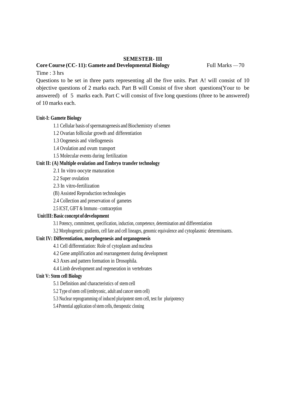#### **SEMESTER- III**

#### **Core Course (CC- 11): Gamete and Developmental Biology** Full Marks —70

Time : 3 hrs

Questions to be set in three parts representing all the five units. Part A! will consist of 10 objective questions of 2 marks each. Part B will Consist of five short questions(Your to be answered) of 5 marks each. Part C will consist of five long questions (three to be answered) of 10 marks each.

#### **Unit-I: Gamete Biology**

1.1 Cellular basis of spermatogenesis and Biochemistry of semen

- 1.2 Ovarian follicular growth and differentiation
- 1.3 Oogenesis and vitellogenesis
- 1.4 Ovulation and ovum transport
- 1.5 Molecular events during fertilization

#### **Unit II: (A) Multiple ovulation and Embryo transfer technology**

- 2.1 In vitro oocyte maturation
- 2.2 Super ovulation
- 2.3 In vitro-fertilization
- (B) Assisted Reproduction technologies
- 2.4 Collection and preservation of gametes
- 2.5 ICST, GIFT & Immuno –contraception

#### **UnitIII:Basic conceptofdevelopment**

3.1 Potency, commitment, specification, induction, competence, determination and differentiation

3.2 Morphogenetic gradients, cell fate and cell lineages, genomic equivalence and cytoplasmic determinants.

#### **Unit IV: Differentiation, morphogenesis and organogenesis**

- 4.1 Cell differentiation: Role of cytoplasm and nucleus
- 4.2 Gene amplification and rearrangement during development
- 4.3 Axes and pattern formation in Drosophila.
- 4.4 Limb development and regeneration in vertebrates

#### **Unit V: Stem cell Biology**

5.1 Definition and characteristics of stemcell

5.2 Type of stem cell (embryonic, adult and cancer stem cell)

5.3 Nuclear reprogramming of induced pluripotent stem cell, test for pluripotency

5.4 Potential application of stem cells, therapeutic cloning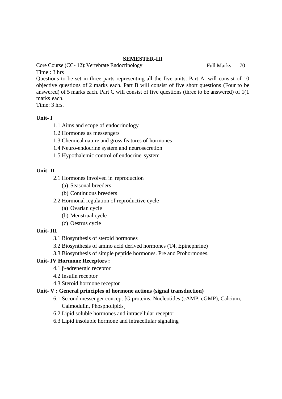#### **SEMESTER-III**

Core Course (CC- 12): Vertebrate Endocrinology Full Marks — 70 Time : 3 hrs

Questions to be set in three parts representing all the five units. Part A. will consist of 10 objective questions of 2 marks each. Part B will consist of five short questions (Four to be answered) of 5 marks each. Part C will consist of five questions (three to be answered) of 1(1 marks each.

Time: 3 hrs.

#### **Unit- I**

- 1.1 Aims and scope of endocrinology
- 1.2 Hormones as messengers
- 1.3 Chemical nature and gross features of hormones
- 1.4 Neuro-endocrine system and neurosecretion
- 1.5 Hypothalemic control of endocrine system

#### **Unit- II**

- 2.1 Hormones involved in reproduction
	- (a) Seasonal breeders
	- (b) Continuous breeders
- 2.2 Hormonal regulation of reproductive cycle
	- (a) Ovarian cycle
	- (b) Menstrual cycle
	- (c) Oestrus cycle

#### **Unit- III**

- 3.1 Biosynthesis of steroid hormones
- 3.2 Biosynthesis of amino acid derived hormones (T4, Epinephrine)
- 3.3 Biosynthesis of simple peptide hormones. Pre and Prohormones.

#### **Unit- IV Hormone Receptors :**

- 4.1 β-adrenergic receptor
- 4.2 Insulin receptor
- 4.3 Steroid hormone receptor

#### **Unit- V : General principles of hormone actions (signal transduction)**

- 6.1 Second messenger concept [G proteins, Nucleotides (cAMP, cGMP), Calcium, Calmodulin, Phospholipids]
- 6.2 Lipid soluble hormones and intracellular receptor
- 6.3 Lipid insoluble hormone and intracellular signaling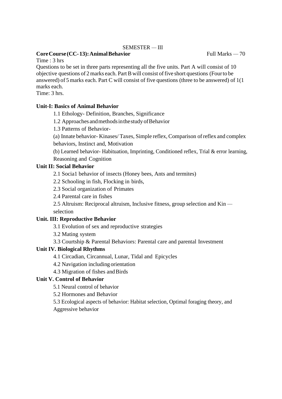#### **Core Course** (CC-13): Animal Behavior Full Marks — 70

Time : 3 hrs

Questions to be set in three parts representing all the five units. Part A will consist of 10 objective questions of 2marks each. PartB will consist offive short questions (Fourto be answered) of 5 marks each. Part C will consist of five questions (three to be answered) of 1(1 marks each.

Time: 3 hrs.

#### **Unit-I: Basics of Animal Behavior**

1.1 Ethology- Definition, Branches, Significance

1.2 Approaches andmethodsinthestudyofBehavior

1.3 Patterns of Behavior-

(a) Innate behavior- Kinases/ Taxes, Simple reflex, Comparison ofreflex and complex behaviors, Instinct and, Motivation

(b) Learned behavior- Habituation, Imprinting, Conditioned reflex, Trial & error learning, Reasoning and Cognition

#### **Unit II: Social Behavior**

2.1 Socia1 behavior of insects (Honey bees, Ants and termites)

2.2 Schooling in fish, Flocking in birds,

2.3 Social organization of Primates

2.4 Parental care in fishes

2.5 Altruism: Reciprocal altruism, Inclusive fitness, group selection and Kin selection

#### **Unit. III: Reproductive Behavior**

3.1 Evolution of sex and reproductive strategies

3.2 Mating system

3.3 Courtship & Parental Behaviors: Parental care and parental Investment

#### **Unit IV. Biological Rhythms**

4.1 Circadian, Circannual, Lunar, Tidal and Epicycles

4.2 Navigation including orientation

4.3 Migration of fishes andBirds

#### **Unit V. Control of Behavior**

5.1 Neural control of behavior

5.2 Hormones and Behavior

5.3 Ecological aspects of behavior: Habitat selection, Optimal foraging theory, and Aggressive behavior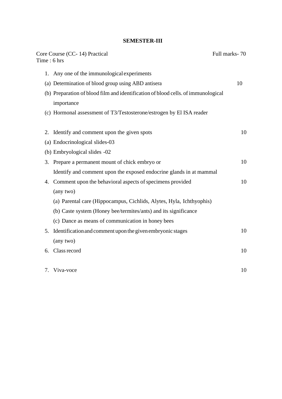#### **SEMESTER-III**

| Core Course (CC-14) Practical<br>Time: 6 hrs                                      | Full marks-70 |
|-----------------------------------------------------------------------------------|---------------|
| 1. Any one of the immunological experiments                                       |               |
| (a) Determination of blood group using ABD antisera                               | 10            |
| (b) Preparation of blood film and identification of blood cells. of immunological |               |
| importance                                                                        |               |
| (c) Hormonal assessment of T3/Testosterone/estrogen by El ISA reader              |               |
|                                                                                   |               |
| 2. Identify and comment upon the given spots                                      | 10            |
| (a) Endocrinological slides-03                                                    |               |
| (b) Embryological slides -02                                                      |               |
| Prepare a permanent mount of chick embryo or<br>3.                                | 10            |
| Identify and comment upon the exposed endocrine glands in at mammal               |               |
| 4. Comment upon the behavioral aspects of specimens provided                      | 10            |
| (any two)                                                                         |               |
| (a) Parental care (Hippocampus, Cichlids, Alytes, Hyla, Ichthyophis)              |               |
| (b) Caste system (Honey bee/termites/ants) and its significance                   |               |
| (c) Dance as means of communication in honey bees                                 |               |
| Identification and comment upon the given embryonic stages<br>5.                  | 10            |
| (any two)                                                                         |               |
| 6. Class record                                                                   | 10            |
|                                                                                   |               |

| 7. Viva-voce | 10 |
|--------------|----|
|              |    |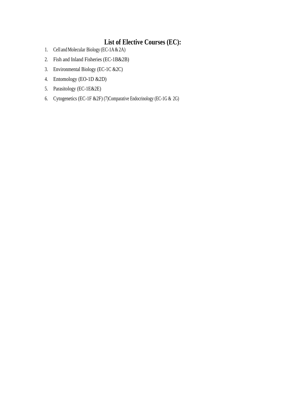# **List of Elective Courses (EC):**

- 1. Cell and Molecular Biology (EC-1A & 2A)
- 2. Fish and Inland Fisheries (EC-1B&2B)
- 3. Environmental Biology (EC-1C &2C)
- 4. Entomology (EO-1D &2D)
- 5. Parasitology (EC-1E&2E)
- 6. Cytogenetics (EC-1F &2F) (7)Comparative Endocrinology (EC-1G & 2G)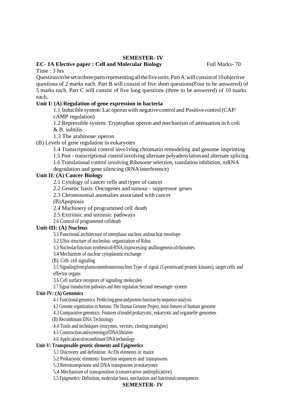#### **EC- 1A Elective paper : Cell and Molecular Biology** Full Marks- 70

Time : 3 hrs

Questionstobesetinthreepartsrepresentingallthefiveunits.PartA.will consistof10objective questions of 2 marks each. Part B will consist of five short questions(Four to be answered) of 5 marks each. Part C will consist of five long questions (three to be answered) of 10 marks each.

#### **Unit I: (A) Regulation of gene expression in bacteria**

1.1 Inducible system:Lacoperonwith negative control and Positive control(CAP/ cAMP regulation)

1.2 Repressible system: Tryptophan operon and mechanism of attenuation in ñ.coli & B. subtilis

1.3 The arabinose operon

(B) Levels of gene regulation in eukaryotes

1.4 Transcriptional control invo1vlng chromatin remodeling and genome imprinting

1.5 Post - transcriptional control involving alternate polyadenylationand alternate splicing

1.6 Translational control involving Ribosome selection, translation inhibition, mRNA

degradation and gene silencing (RNAinterference)

#### **Unit II: (A) Cancer Biology**

2.1 Cytology of cancer cells and types of cancer

2.2 Genetic basis: Oncogenes and tumour - suppressor genes

2.3 Chromosomal anomalies associated with cancer

(B)Apoptosis

2.4 Machinery of programmed cell death

2.5 Extrinsic and intrinsic pathways

2.6 Control of programmed celldeath

#### **Unit-III: (A) Nucleus**

3.1 Functional architecture of interphase nucleus andnuclear envelope

3.2 Ultra structure of nucleolus: organization of Rdna

3.3 Nucleolarfunction:synthesisofrRNA,itsprocessing‹andbiogenesisofribosomes

3.4 Mechanism of nuclear cytoplasmic exchange

(B): Cell- cell signaling

3.5 Signalingfromplasmamembranetonucleus:Type of signal (Gproteinand protein kinases), target cells and effector organs

3.6 Cell surface receptors of signaling molecules

3.7 Signal transduction pathways and their regulation Second messenger system

#### **Unit-IV: (A) Genomics**

4.1 Functional genomics: Predictinggeneandprotein function bysequence analysis

4.2 Genome organization in humans: The Human Genome Project, main features of human genome

4.3 Comparative genomics: Features ofmodel prokaryotic, eukaryotic and organelle genomes

(B) Recombinant DNA Technology

4.4 Tools and techniques (enzymes, vectors, cloning strategies)

4.5 Construction andscreeningofDNAlibraries

4.6 Application ofrecombinant DNAtechnology

#### **Unit-V: Transposable genetic elements and Epigenetics**

5.1 Discovery and definition: Ac/Ds elements in maize

5.2 Prokaryotic elements: Insertion sequences and transposons

5.3 Retrotransposons and DNA transposons in eukaryotes

5.4 Mechanism of transposition (conservative andreplicative)

5.5 Epigenetics: Definition, molecular basis, mechanism and functionalconsequences

#### **SEMESTER- IV**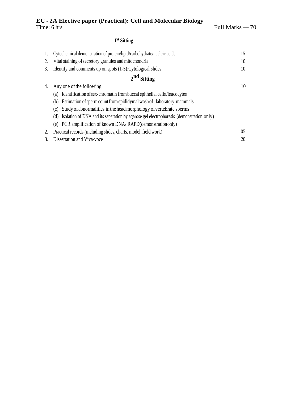#### **1 St Sitting**

|                | Cytochemical demonstration of protein/lipid/carbohydrate/nucleic acids                         | 15 |
|----------------|------------------------------------------------------------------------------------------------|----|
| $\mathfrak{D}$ | Vital staining of secretory granules and mitochondria                                          | 10 |
| 3.             | Identify and comments up on spots (1-5): Cytological slides                                    | 10 |
|                | $2nd$ Sitting                                                                                  |    |
| 4.             | Any one of the following:                                                                      | 10 |
|                | Identification of sex-chromatin from buccal epithelial cells/leucocytes<br>(a)                 |    |
|                | Estimation of sperm count from epididymal wash of laboratory mammals<br>(b)                    |    |
|                | Study of abnormalities in the head morphology of vertebrate sperms<br>(c)                      |    |
|                | Isolation of DNA and its separation by agarose gel electrophoresis (demonstration only)<br>(d) |    |
|                | PCR amplification of known DNA/RAPD(demonstration only)<br>(e)                                 |    |
| 2.             | Practical records (including slides, charts, model, field work)                                | 05 |
|                | Dissertation and Viva-voce                                                                     | 20 |
|                |                                                                                                |    |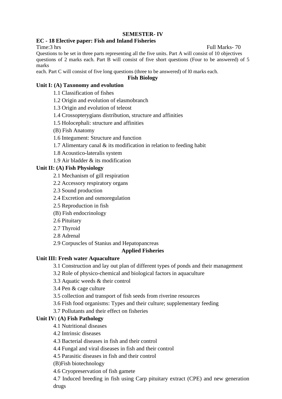#### **EC - 18 Elective paper: Fish and Inland Fisheries**

Questions to be set in three parts representing all the five units. Part A will consist of 10 objectives questions of 2 marks each. Part B will consist of five short questions (Four to be answered) of 5 marks

each. Part C will consist of five long questions (three to be answered) of l0 marks each.

**Fish Biology**

#### **Unit I: (A) Taxonomy and evolution**

1.1 Classification of fishes

1.2 Origin and evolution of elasmobranch

1.3 Origin and evolution of teleost

1.4 Crossopterygians distribution, structure and affinities

1.5 Holocephali: structure and affinities

(B) Fish Anatomy

1.6 Integument: Structure and function

1.7 Alimentary canal & its modification in relation to feeding habit

1.8 Acoustico-lateralis system

1.9 Air bladder & its modification

#### **Unit II: (A) Fish Physiology**

2.1 Mechanism of gill respiration

- 2.2 Accessory respiratory organs
- 2.3 Sound production
- 2.4 Excretion and osmoregulation
- 2.5 Reproduction in fish
- (B) Fish endocrinology
- 2.6 Pituitary
- 2.7 Thyroid
- 2.8 Adrenal
- 2.9 Corpuscles of Stanius and Hepatopancreas

#### **Applied Fisheries**

#### **Unit III: Fresh water Aquaculture**

3.1 Construction and lay out plan of different types of ponds and their management

3.2 Role of physico-chemical and biological factors in aquaculture

- 3.3 Aquatic weeds & their control
- 3.4 Pen & cage culture

3.5 collection and transport of fish seeds from riverine resources

3.6 Fish food organisms: Types and their culture; supplementary feeding

3.7 Pollutants and their effect on fisheries

#### **Unit IV: (A) Fish Pathology**

4.1 Nutritional diseases

4.2 Intrinsic diseases

4.3 Bacterial diseases in fish and their control

4.4 Fungal and viral diseases in fish and their control

4.5 Parasitic diseases in fish and their control

(B)Fish biotechnology

4.6 Cryopreservation of fish gamete

4.7 Induced breeding in fish using Carp pituitary extract (CPE) and new generation drugs

Time:3 hrs Full Marks- 70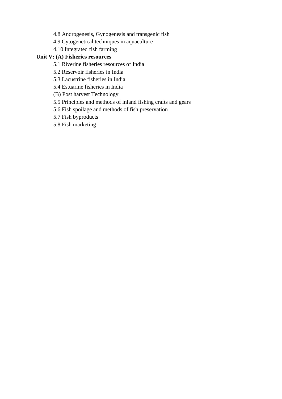4.8 Androgenesis, Gynogenesis and transgenic fish

4.9 Cytogenetical techniques in aquaculture

4.10 Integrated fish farming

#### **Unit V: (A) Fisheries resources**

5.1 Riverine fisheries resources of India

5.2 Reservoir fisheries in India

5.3 Lacustrine fisheries in India

5.4 Estuarine fisheries in India

(B) Post harvest Technology

5.5 Principles and methods of inland fishing crafts and gears

5.6 Fish spoilage and methods of fish preservation

5.7 Fish byproducts

5.8 Fish marketing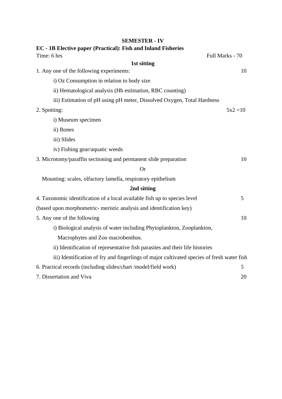| EC - 1B Elective paper (Practical): Fish and Inland Fisheries                              |                 |
|--------------------------------------------------------------------------------------------|-----------------|
| Time: 6 hrs                                                                                | Full Marks - 70 |
| 1st sitting                                                                                |                 |
| 1. Any one of the following experiments:                                                   | 10              |
| i) Oz Consumption in relation to body size                                                 |                 |
| ii) Hematological analysis (Hb estimation, RBC counting)                                   |                 |
| iii) Estimation of pH using pH meter, Dissolved Oxygen, Total Hardness                     |                 |
| 2. Spotting:                                                                               | $5x^2 = 10$     |
| i) Museum specimen                                                                         |                 |
| ii) Bones                                                                                  |                 |
| iii) Slides                                                                                |                 |
| iv) Fishing gear/aquatic weeds                                                             |                 |
| 3. Microtomy/paraffin sectioning and permanent slide preparation                           | 10              |
| <b>Or</b>                                                                                  |                 |
| Mounting: scales, olfactory lamella, respiratory epithelium                                |                 |
| 2nd sitting                                                                                |                 |
| 4. Taxonomic identification of a local available fish up to species level                  | 5               |
| (based upon morphometric- meristic analysis and identification key)                        |                 |
| 5. Any one of the following                                                                | 10              |
| i) Biological analysis of water including Phytoplankton, Zooplankton,                      |                 |
| Macrophytes and Zoo macrobenthos.                                                          |                 |
| ii) Identification of representative fish parasites and their life histories               |                 |
| iii) Identification of fry and fingerlings of major cultivated species of fresh water fish |                 |
| 6. Practical records (including slides/chart/model/field work)                             | 5               |
| 7. Dissertation and Viva                                                                   | 20              |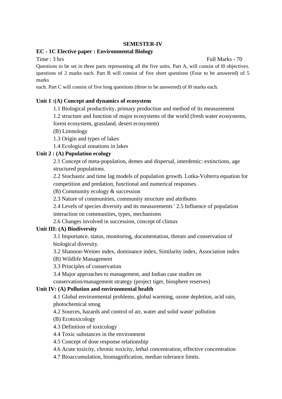#### **EC - 1C Elective paper : Environmental Biology**

Time : 3 hrs Full Marks - 70

Questions to be set in three parts representing all the five units. Part A, will consist of l0 objectives. questions of 2 marks each. Part B will consist of five short questions (Four to be answered) of 5 marks

each. Part C will consist of five long questions (three to be answered) of l0 marks each.

#### **Unit 1 :(A) Concept and dynamics of ecosystem**

1.1 Biological productivity, primary production and method of its measurement

1.2 structure and function of major ecosystems of the world (fresh water ecosystems,

forest ecosystem, grassland, desert ecosystem)

(B) Limnology

1.3 Origin and types of lakes

1.4 Ecological zonations in lakes

#### **Unit 2 : (A) Population ecology**

2.1 Concept of meta-population, demes and dispersal, interdemic: extinctions, age structured populations.

2.2 Stochastic and time lag models of population growth. Lotka-Volterra equation for competition and predation, functional and numerical responses.

(B) Community ecology & succession

2.3 Nature of communities, community structure and attributes

2.4 Levels of species diversity and its measurements ' 2.5 Influence of population interaction on communities, types, mechanisms

2.6 Changes involved in succession, concept of climax

#### **Unit III: (A) Biodiversity**

3.1 Importance, status, monitoring, documentation, threats and conservation of biological diversity.

3.2 Shannon-Weiner index, dominance index, Similarity index, Association index

(B) Wildlife Management

3.3 Principles of conservation

3.4 Major approaches to management, and Indian case studies on

conservation/management strategy (project tiger, biosphere reserves)

#### **Unit IV: (A) Pollution and environmental health**

4.1 Global environmental problems, global warming, ozone depletion, acid rain, photochemical smog

4.2 Sources, hazards and control of air, water and solid waste' pollution

- (B) Ecotoxicology
- 4.3 Definition of toxicology
- 4.4 Toxic substances in the environment

4.5 Concept of dose response relationship

4.6 Acute toxicity, chronic toxicity, lethal concentration, effective concentration

4.7 Bioaccumulation, biomagnification, median tolerance limits.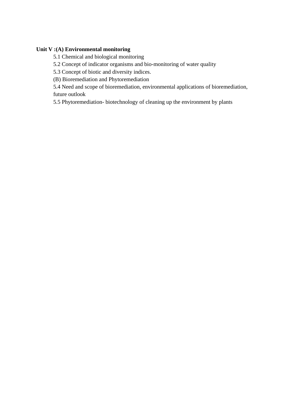#### **Unit V :(A) Environmental monitoring**

5.1 Chemical and biological monitoring

5.2 Concept of indicator organisms and bio-monitoring of water quality

5.3 Concept of biotic and diversity indices.

(B) Bioremediation and Phytoremediation

5.4 Need and scope of bioremediation, environmental applications of bioremediation, future outlook

5.5 Phytoremediation- biotechnology of cleaning up the environment by plants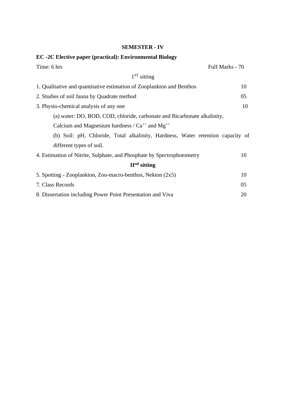### **EC -2C Elective paper (practical): Environmental Biology**

| Time: 6 hrs                                                                     | Full Marks - 70 |
|---------------------------------------------------------------------------------|-----------------|
| $1ST$ sitting                                                                   |                 |
| 1. Qualitative and quantitative estimation of Zooplankton and Benthos           | 10              |
| 2. Studies of soil fauna by Quadrate method                                     | 05              |
| 3. Physio-chemical analysis of any one                                          | 10              |
| (a) water: DO, BOD, COD, chloride, carbonate and Bicarbonate alkalinity,        |                 |
| Calcium and Magnesium hardness / $Ca^{++}$ and Mg <sup>++</sup>                 |                 |
| (b) Soil: pH, Chloride, Total alkalinity, Hardness, Water retention capacity of |                 |
| different types of soil.                                                        |                 |
| 4. Estimation of Nitrite, Sulphate, and Phosphate by Spectrophotometry          | 10              |
| $IInd$ sitting                                                                  |                 |
| 5. Spotting - Zooplankton, Zoo-macro-benthos, Nekton (2x5)                      | 10              |
| 7. Class Records                                                                | 05              |
| 8. Dissertation including Power Point Presentation and Viva                     | 20              |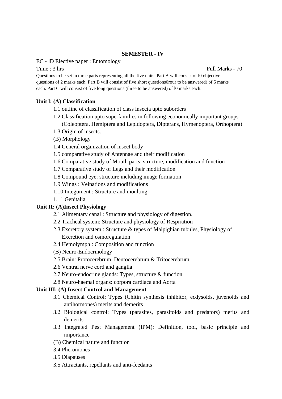EC - lD Elective paper : Entomology

Questions to be set in three parts representing all the five units. Part A will consist of l0 objective questions of 2 marks each. Part B will consist of five short questions0rour to be answered) of 5 marks each. Part C will consist of five long questions (three to be answered) of l0 marks each.

#### **Unit l: (A) Classification**

- 1.1 outline of classification of class lnsecta upto suborders
- 1.2 Classification upto superfamilies in following economically important groups (Coleoptera, Hemiptera and Lepidoptera, Dipterans, Hyrnenoptera, Orthoptera)
- 1.3 Origin of insects.
- (B) Morphology
- 1.4 General organization of insect body
- 1.5 comparative study of Antennae and their modification
- 1.6 Comparative study of Mouth parts: structure, modification and function
- 1.7 Comparative study of Legs and their modification
- 1.8 Compound eye: structure including image formation
- 1.9 Wings : Veinations and modifications
- 1.10 Integument : Structure and moulting
- 1.11 Genitalia

#### **Unit II: (A)Insect Physiology**

- 2.1 Alimentary canal : Structure and physiology of digestion.
- 2.2 Tracheal system: Structure and physiology of Respiration
- 2.3 Excretory system : Structure & types of Malpighian tubules, Physiology of Excretion and osmoregulation
- 2.4 Hemolymph : Composition and function
- (B) Neuro-Endocrinology
- 2.5 Brain: Protocerebrum, Deutocerebrum & Tritocerebrum
- 2.6 Ventral nerve cord and ganglia
- 2.7 Neuro-endocrine glands: Types, structure & function
- 2.8 Neuro-haemal organs: corpora cardiaca and Aorta

#### **Unit III: (A) Insect Control and Management**

- 3.1 Chemical Control: Types (Chitin synthesis inhibitor, ecdysoids, juvenoids and antihormones) merits and demerits
- 3.2 Biological control: Types (parasites, parasitoids and predators) merits and demerits
- 3.3 Integrated Pest Management (IPM): Definition, tool, basic principle and importance
- (B) Chemical nature and function
- 3.4 Pheromones
- 3.5 Diapauses
- 3.5 Attractants, repellants and anti-feedants

Time : 3 hrs Full Marks - 70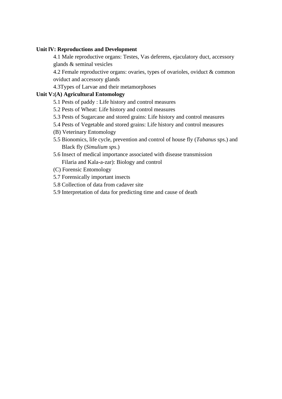#### **Unit lV: Reproductions and Development**

4.1 Male reproductive organs: Testes, Vas deferens, ejaculatory duct, accessory glands & seminal vesicles

4.2 Female reproductive organs: ovaries, types of ovarioles, oviduct & common oviduct and accessory glands

4.3Types of Larvae and their metamorphoses

#### **Unit V:(A) Agricultural Entomology**

- 5.1 Pests of paddy : Life history and control measures
- 5.2 Pests of Wheat: Life history and control measures
- 5.3 Pests of Sugarcane and stored grains: Life history and control measures
- 5.4 Pests of Vegetable and stored grains: Life history and control measures
- (B) Veterinary Entomology
- 5.5 Bionomics, life cycle, prevention and control of house fly (*Tabanus* sps.) and Black fly (*Simulium sps*.)
- 5.6 Insect of medical importance associated with disease transmission Filaria and Kala-a-zar): Biology and control
- (C) Forensic Entomology
- 5.7 Forensically important insects
- 5.8 Collection of data from cadaver site
- 5.9 Interpretation of data for predicting time and cause of death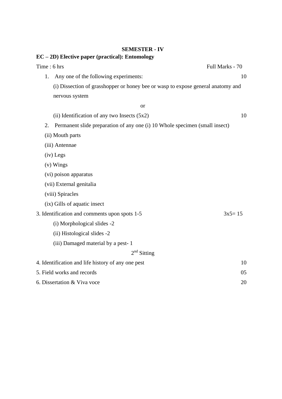# **EC – 2D) Elective paper (practical): Entomology**

|    | Time: 6 hrs                                                                      | Full Marks - 70 |
|----|----------------------------------------------------------------------------------|-----------------|
| 1. | Any one of the following experiments:                                            | 10              |
|    | (i) Dissection of grasshopper or honey bee or wasp to expose general anatomy and |                 |
|    | nervous system                                                                   |                 |
|    | <b>or</b>                                                                        |                 |
|    | (ii) Identification of any two Insects $(5x2)$                                   | 10              |
| 2. | Permanent slide preparation of any one (i) 10 Whole specimen (small insect)      |                 |
|    | (ii) Mouth parts                                                                 |                 |
|    | (iii) Antennae                                                                   |                 |
|    | (iv) Legs                                                                        |                 |
|    | $(v)$ Wings                                                                      |                 |
|    | (vi) poison apparatus                                                            |                 |
|    | (vii) External genitalia                                                         |                 |
|    | (viii) Spiracles                                                                 |                 |
|    | (ix) Gills of aquatic insect                                                     |                 |
|    | 3. Identification and comments upon spots 1-5                                    | $3x5 = 15$      |
|    | (i) Morphological slides -2                                                      |                 |
|    | (ii) Histological slides -2                                                      |                 |
|    | (iii) Damaged material by a pest-1                                               |                 |
|    | $2nd$ Sitting                                                                    |                 |
|    | 4. Identification and life history of any one pest                               | 10              |
|    | 5. Field works and records                                                       | 05              |
|    | 6. Dissertation & Viva voce                                                      | 20              |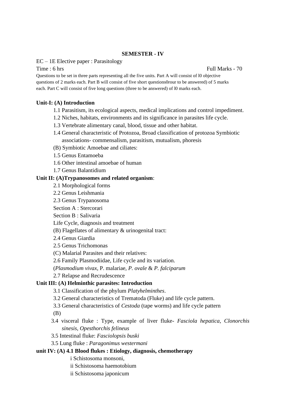EC – 1E Elective paper : Parasitology

Time : 6 hrs Full Marks - 70

Questions to be set in three parts representing all the five units. Part A will consist of l0 objective questions of 2 marks each. Part B will consist of five short questions0rour to be answered) of 5 marks each. Part C will consist of five long questions (three to be answered) of l0 marks each.

#### **Unit-I: (A) Introduction**

- 1.1 Parasitism, its ecological aspects, medical implications and control impediment.
- 1.2 Niches, habitats, environments and its significance in parasites life cycle.
- 1.3 Vertebrate alimentary canal, blood, tissue and other habitat.
- 1.4 General characteristic of Protozoa, Broad classification of protozoa Symbiotic associations- commensalism, parasitism, mutualism, phoresis
- (B) Symbiotic Amoebae and ciliates:
- 1.5 Genus Entamoeba
- 1.6 Other intestinal amoebae of human
- 1.7 Genus Balantidium

#### **Unit II: (A)Trypanosomes and related organism**:

- 2.1 Morphological forms
- 2.2 Genus Leishmania
- 2.3 Genus Trypanosoma
- Section A : Stercorari

Section B : Salivaria

- Life Cycle, diagnosis and treatment
- (B) Flagellates of alimentary & urinogenital tract:
- 2.4 Genus Giardia
- 2.5 Genus Trichomonas
- (C) Malarial Parasites and their relatives:
- 2.6 Family Plasmodiidae, Life cycle and its variation.
- (*Plasmodium vivax*, P. malariae, *P. ovale* & *P. falciparum*
- 2.7 Relapse and Recrudescence

#### **Unit III: (A) Helminthic parasites: Introduction**

- 3.1 Classification of the phylum *Platyhelminthes*.
- 3.2 General characteristics of Trematoda (Fluke) and life cycle pattern.
- 3.3 General characteristics of *Cestoda* (tape worms) and life cycle pattern

(B)

- 3.4 visceral fluke : Type, example of liver fluke- *Fasciola hepatica*, *Clonorchis sinesis*, *Opesthorchis felineus*
- 3.5 Intestinal fluke: *Fasciolopsis buski*
- 3.5 Lung fluke : *Paragonimus westermani*

#### **unit IV: (A) 4.1 Blood flukes : Etiology, diagnosis, chemotherapy**

- i Schistosoma monsoni,
- ii Schistosoma haemotobium
- ii Schistosoma japonicum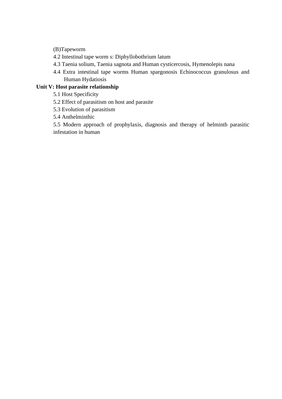(B)Tapeworm

- 4.2 Intestinal tape worm s: Diphyllobothrium latum
- 4.3 Taenia solium, Taenia sagnota and Human cysticercosis, Hymenolepis nana
- 4.4 Extra intestinal tape worms Human spargonosis Echinococcus granulosus and Human Hydatiosis

#### **Unit V: Host parasite relationship**

- 5.1 Host Specificity
- 5.2 Effect of parasitism on host and parasite
- 5.3 Evolution of parasitism
- 5.4 Anthelminthic

5.5 Modern approach of prophylaxis, diagnosis and therapy of helminth parasitic infestation in human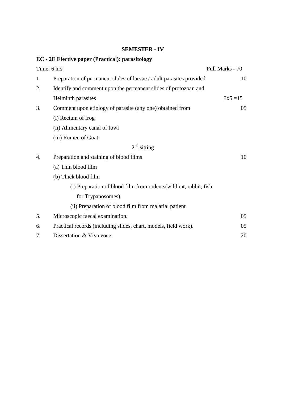# **EC - 2E Elective paper (Practical): parasitology**

|    | Time: 6 hrs                                                          | Full Marks - 70 |
|----|----------------------------------------------------------------------|-----------------|
| 1. | Preparation of permanent slides of larvae / adult parasites provided | 10              |
| 2. | Identify and comment upon the permanent slides of protozoan and      |                 |
|    | Helminth parasites                                                   | $3x5 = 15$      |
| 3. | Comment upon etiology of parasite (any one) obtained from            | 05 <sub>1</sub> |
|    | (i) Rectum of frog                                                   |                 |
|    | (ii) Alimentary canal of fowl                                        |                 |
|    | (iii) Rumen of Goat                                                  |                 |
|    | $2nd$ sitting                                                        |                 |
| 4. | Preparation and staining of blood films                              | 10              |
|    | (a) Thin blood film                                                  |                 |
|    | (b) Thick blood film                                                 |                 |
|    | (i) Preparation of blood film from rodents (wild rat, rabbit, fish   |                 |
|    | for Trypanosomes).                                                   |                 |
|    | (ii) Preparation of blood film from malarial patient                 |                 |
| 5. | Microscopic faecal examination.                                      | 05              |
| 6. | Practical records (including slides, chart, models, field work).     | 05              |
| 7. | Dissertation & Viva voce                                             | 20              |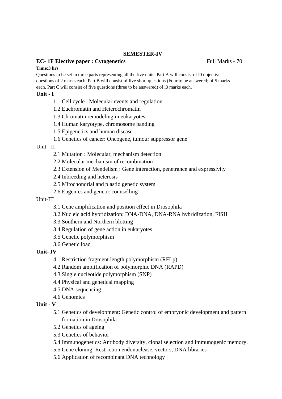#### **EC- 1F Elective paper : Cytogenetics** Full Marks - 70

#### **Time:3 hrs**

Questions to be set in three parts representing all the five units. Part A will consist of l0 objective questions of 2 marks each. Part B will consist of live short questions (Four to be answered; bf 5 marks each. Part C will consist of five questions (three to be answered) of l0 marks each.

#### **Unit - I**

- 1.1 Cell cycle : Molecular events and regulation
- 1.2 Euchromatin and Heterochromatin
- 1.3 Chromatin remodeling in eukaryotes
- 1.4 Human karyotype, chromosome banding
- 1.5 Epigenetics and human disease
- 1.6 Genetics of cancer: Oncogene, tumour suppressor gene

#### Unit - II

- 2.1 Mutation : Molecular, mechanism detection
- 2.2 Molecular mechanism of recombination
- 2.3 Extension of Mendelism : Gene interaction, penetrance and expressivity
- 2.4 Inbreeding and heterosis
- 2.5 Mitochondrial and plastid genetic system
- 2.6 Eugenics and genetic counselling

#### Unit-III

- 3.1 Gene amplification and position effect in Drosophila
- 3.2 Nucleic acid hybridization: DNA-DNA, DNA-RNA hybridization, FISH
- 3.3 Southern and Northern blotting
- 3.4 Regulation of gene action in eukaryotes
- 3.5 Genetic polymorphism
- 3.6 Genetic load

#### **Unit- IV**

- 4.1 Restriction fragment length polymorphism (RFLp)
- 4.2 Random amplification of polymorphic DNA (RAPD)
- 4.3 Single nucleotide polymorphism (SNP)
- 4.4 Physical and genetical mapping
- 4.5 DNA sequencing
- 4.6 Genomics

#### **Unit - V**

- 5.1 Genetics of development: Genetic control of embryonic development and pattern formation in Drosophila
- 5.2 Genetics of ageing
- 5.3 Genetics of behavior
- 5.4 Immunogenetics: Antibody diversity, clonal selection and immunogenic memory.
- 5.5 Gene cloning: Restriction endonuclease, vectors, DNA libraries
- 5.6 Application of recombinant DNA technology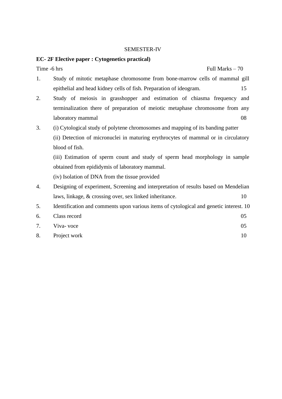#### **EC- 2F Elective paper : Cytogenetics practical)**

 $Time -6 hrs$  Full Marks  $-70$ 

- 1. Study of mitotic metaphase chromosome from bone-marrow cells of mammal gill epithelial and head kidney cells of fish. Preparation of ideogram. 15
- 2. Study of meiosis in grasshopper and estimation of chiasma frequency and terminalization there of preparation of meiotic metaphase chromosome from any laboratory mammal 08
- 3. (i) Cytological study of polytene chromosomes and mapping of its banding patter (ii) Detection of micronuclei in maturing erythrocytes of mammal or in circulatory blood of fish.

(iii) Estimation of sperm count and study of sperm head morphology in sample obtained from epididymis of laboratory mammal.

(iv) Isolation of DNA from the tissue provided

- 4. Designing of experiment, Screening and interpretation of results based on Mendelian laws, linkage, & crossing over, sex linked inheritance. 10
- 5. Identification and comments upon various items of cytological and genetic interest. 10
- 6. Class record 05 7. Viva- voce 05
- 8. Project work 10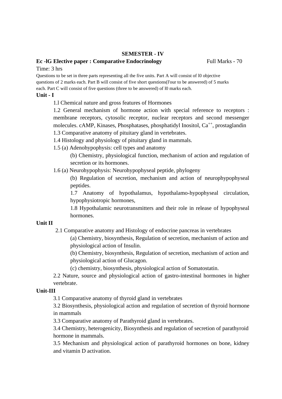#### **Ec - IG Elective paper : Comparative Endocrinology** Full Marks - 70

Questions to be set in three parts representing all the five units. Part A will consist of l0 objective questions of 2 marks each. Part B will consist of five short questions(I'our to be answered) of 5 marks each. Part C will consist of five questions (three to be answered) of l0 marks each.

#### **Unit - I**

1.l Chemical nature and gross features of Hormones

1.2 General mechanism of hormone action with special reference to receptors : membrane receptors, cytosolic receptor, nuclear receptors and second messenger molecules. cAMP, Kinases, Phosphatases, phosphatidyl Inositol, Ca<sup>++</sup>, prostaglandin 1.3 Comparative anatomy of pituitary gland in vertebrates.

- 1.4 Histology and physiology of pituitary gland in mammals.
- 1.5 (a) Adenohypophysis: cell types and anatomy

(b) Chemistry, physiological function, mechanism of action and regulation of secretion or its hormones.

1.6 (a) Neurohypophysis: Neurohypophyseal peptide, phylogeny

(b) Regulation of secretion, mechanism and action of neurophypophyseal peptides.

1.7 Anatomy of hypothalamus, hypothalamo-hypophyseal circulation, hypophysiotropic hormones,

1.8 Hypothalamic neurotransmitters and their role in release of hypophyseal hormones.

#### **Unit II**

2.1 Comparative anatomy and Histology of endocrine pancreas in vertebrates

(a) Chemistry, biosynthesis, Regulation of secretion, mechanism of action and physiological action of Insulin.

(b) Chemistry, biosynthesis, Regulation of secretion, mechanism of action and physiological action of Glucagon.

(c) chemistry, biosynthesis, physiological action of Somatostatin.

2.2 Nature, source and physiological action of gastro-intestinal hormones in higher vertebrate.

#### **Unit-III**

3.1 Comparative anatomy of thyroid gland in vertebrates

3.2 Biosynthesis, physiological action and regulation of secretion of thyroid hormone in mammals

3.3 Comparative anatomy of Parathyroid gland in vertebrates.

3.4 Chemistry, heterogenicity, Biosynthesis and regulation of secretion of parathyroid hormone in mammals.

3.5 Mechanism and physiological action of parathyroid hormones on bone, kidney and vitamin D activation.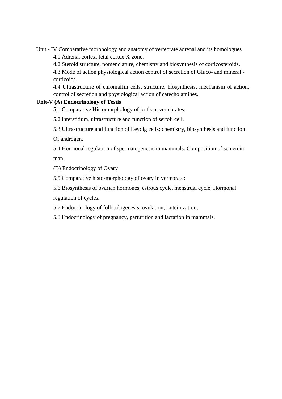Unit - IV Comparative morphology and anatomy of vertebrate adrenal and its homologues

4.1 Adrenal cortex, fetal cortex X-zone.

4.2 Steroid structure, nomenclature, chemistry and biosynthesis of corticosteroids.

4.3 Mode of action physiological action control of secretion of Gluco- and mineral corticoids

4.4 Ultrastructure of chromaffin cells, structure, biosynthesis, mechanism of action, control of secretion and physiological action of catecholamines.

#### **Unit-V (A) Endocrinology of Testis**

5.1 Comparative Histomorphology of testis in vertebrates;

5.2 lnterstitium, ultrastructure and function of sertoli cell.

5.3 Ultrastructure and function of Leydig cells; chemistry, biosynthesis and function Of androgen.

5.4 Hormonal regulation of spermatogenesis in mammals. Composition of semen in man.

(B) Endocrinology of Ovary

5.5 Comparative histo-morphology of ovary in vertebrate:

5.6 Biosynthesis of ovarian hormones, estrous cycle, menstrual cycle, Hormonal

regulation of cycles.

5.7 Endocrinology of folliculogenesis, ovulation, Luteinization,

5.8 Endocrinology of pregnancy, parturition and lactation in mammals.